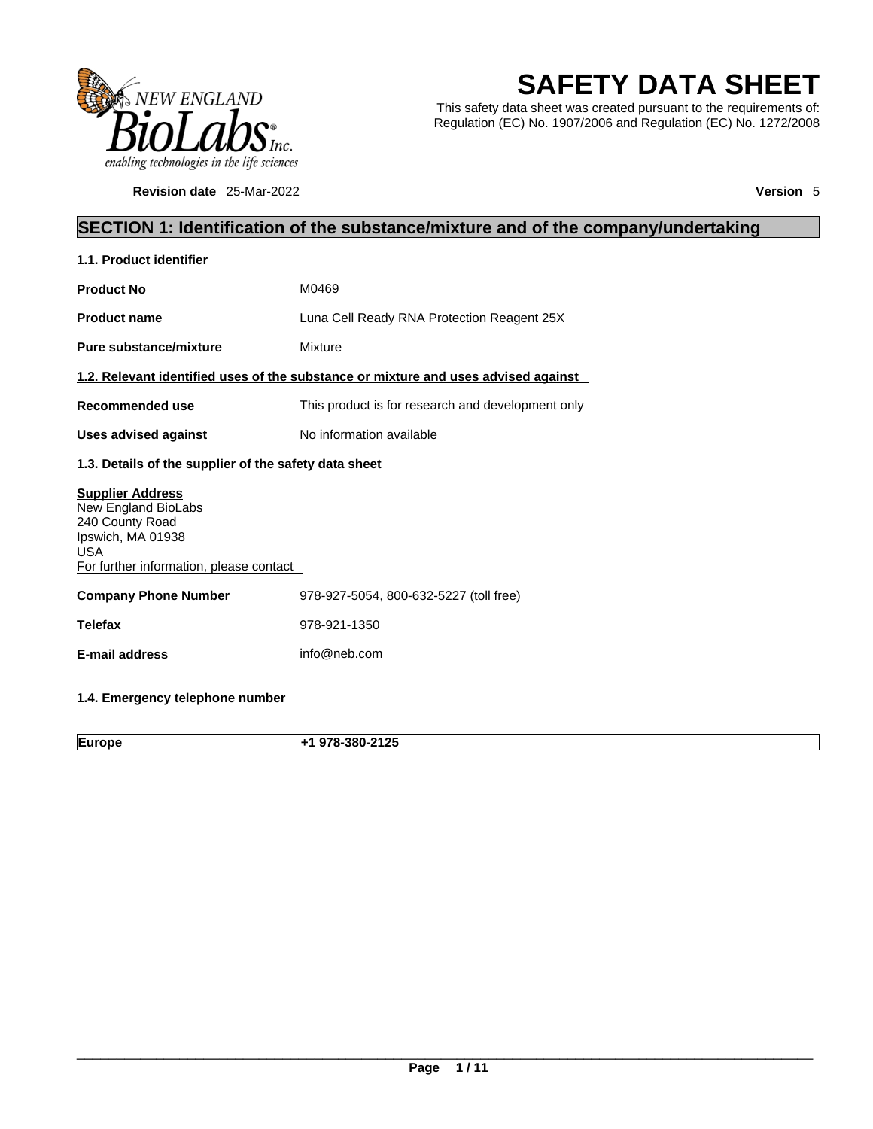

**Revision date** 25-Mar-2022 **Version** 5

# **SAFETY DATA SHEET**

This safety data sheet was created pursuant to the requirements of: Regulation (EC) No. 1907/2006 and Regulation (EC) No. 1272/2008

# **SECTION 1: Identification of the substance/mixture and of the company/undertaking**

| 1.1. Product identifier                                                                                                                         |                                                                                    |  |  |  |  |
|-------------------------------------------------------------------------------------------------------------------------------------------------|------------------------------------------------------------------------------------|--|--|--|--|
| <b>Product No</b>                                                                                                                               | M0469                                                                              |  |  |  |  |
| <b>Product name</b>                                                                                                                             | Luna Cell Ready RNA Protection Reagent 25X                                         |  |  |  |  |
| Pure substance/mixture                                                                                                                          | Mixture                                                                            |  |  |  |  |
|                                                                                                                                                 | 1.2. Relevant identified uses of the substance or mixture and uses advised against |  |  |  |  |
| Recommended use                                                                                                                                 | This product is for research and development only                                  |  |  |  |  |
| <b>Uses advised against</b>                                                                                                                     | No information available                                                           |  |  |  |  |
|                                                                                                                                                 | 1.3. Details of the supplier of the safety data sheet                              |  |  |  |  |
| <b>Supplier Address</b><br>New England BioLabs<br>240 County Road<br>Ipswich, MA 01938<br><b>USA</b><br>For further information, please contact |                                                                                    |  |  |  |  |
| <b>Company Phone Number</b>                                                                                                                     | 978-927-5054, 800-632-5227 (toll free)                                             |  |  |  |  |
| <b>Telefax</b>                                                                                                                                  | 978-921-1350                                                                       |  |  |  |  |
| E-mail address                                                                                                                                  | info@neb.com                                                                       |  |  |  |  |
|                                                                                                                                                 |                                                                                    |  |  |  |  |

# **1.4. Emergency telephone number**

**Europe +1 978-380-2125**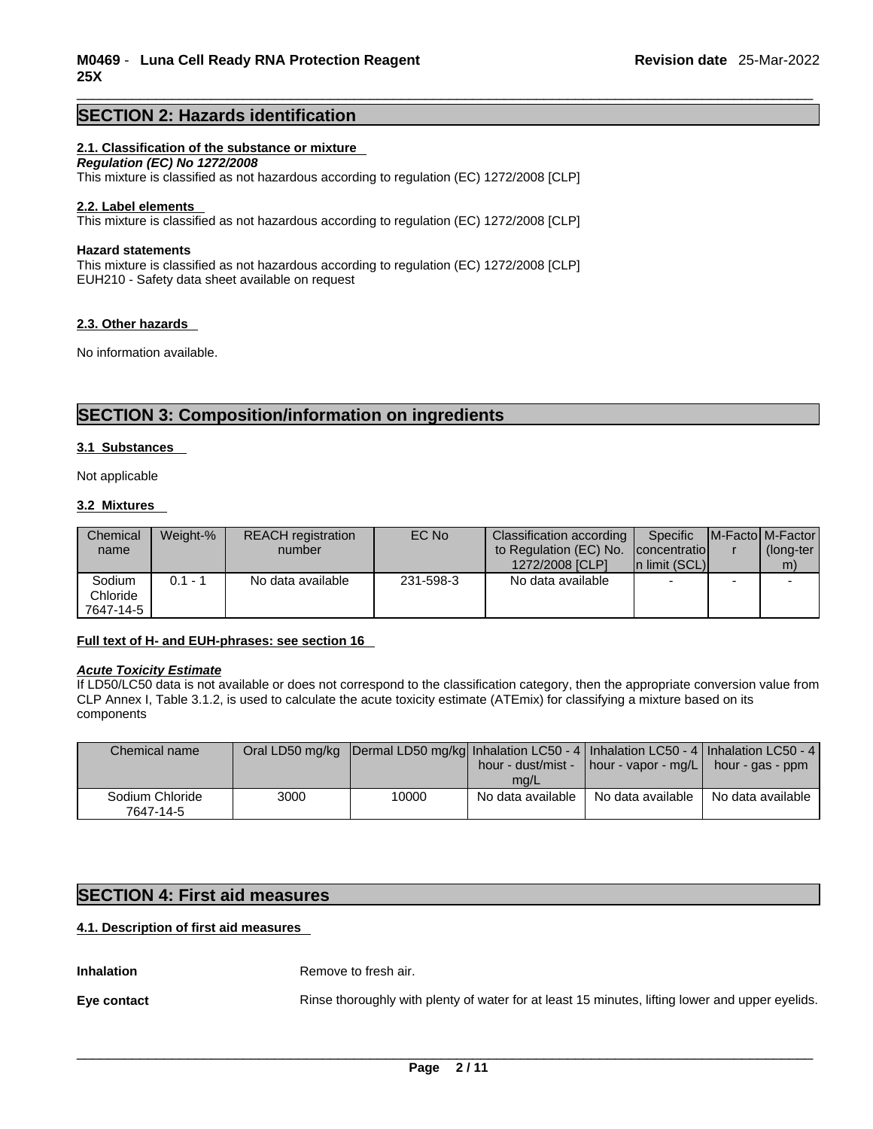# **SECTION 2: Hazards identification**

# **2.1. Classification of the substance or mixture**

*Regulation (EC) No 1272/2008* 

This mixture is classified as not hazardous according to regulation (EC) 1272/2008 [CLP]

#### **2.2. Label elements**

This mixture is classified as not hazardous according to regulation (EC) 1272/2008 [CLP]

#### **Hazard statements**

This mixture is classified as not hazardous according to regulation (EC) 1272/2008 [CLP] EUH210 - Safety data sheet available on request

#### **2.3. Other hazards**

No information available.

# **SECTION 3: Composition/information on ingredients**

#### **3.1 Substances**

Not applicable

#### **3.2 Mixtures**

| Chemical<br>name                | Weight-% | <b>REACH</b> registration<br>number | EC No     | Classification according<br>to Regulation (EC) No.<br>1272/2008 [CLP] | Specific<br><i>concentratiol</i><br>In limit (SCL) |   | <b>IM-Factol M-Factor</b><br>(long-ter<br>m) |
|---------------------------------|----------|-------------------------------------|-----------|-----------------------------------------------------------------------|----------------------------------------------------|---|----------------------------------------------|
| Sodium<br>Chloride<br>7647-14-5 | 0.1 - 1  | No data available                   | 231-598-3 | No data available                                                     | $\overline{\phantom{a}}$                           | - |                                              |

#### **Full text of H- and EUH-phrases: see section 16**

#### *Acute Toxicity Estimate*

If LD50/LC50 data is not available or does not correspond to the classification category, then the appropriate conversion value from CLP Annex I, Table 3.1.2, is used to calculate the acute toxicity estimate (ATEmix) for classifying a mixture based on its components

| Chemical name                |      | Oral LD50 mg/kg   Dermal LD50 mg/kg  Inhalation LC50 - 4   Inhalation LC50 - 4   Inhalation LC50 - 4 |                   |                                                             |                   |
|------------------------------|------|------------------------------------------------------------------------------------------------------|-------------------|-------------------------------------------------------------|-------------------|
|                              |      |                                                                                                      |                   | hour - dust/mist -   hour - vapor - mg/L   hour - gas - ppm |                   |
|                              |      |                                                                                                      | ma/L              |                                                             |                   |
| Sodium Chloride<br>7647-14-5 | 3000 | 10000                                                                                                | No data available | No data available                                           | No data available |

# **SECTION 4: First aid measures**

# **4.1. Description of first aid measures**

**Inhalation** Remove to fresh air.

**Eye contact Rinse thoroughly with plenty of water for at least 15 minutes, lifting lower and upper eyelids.**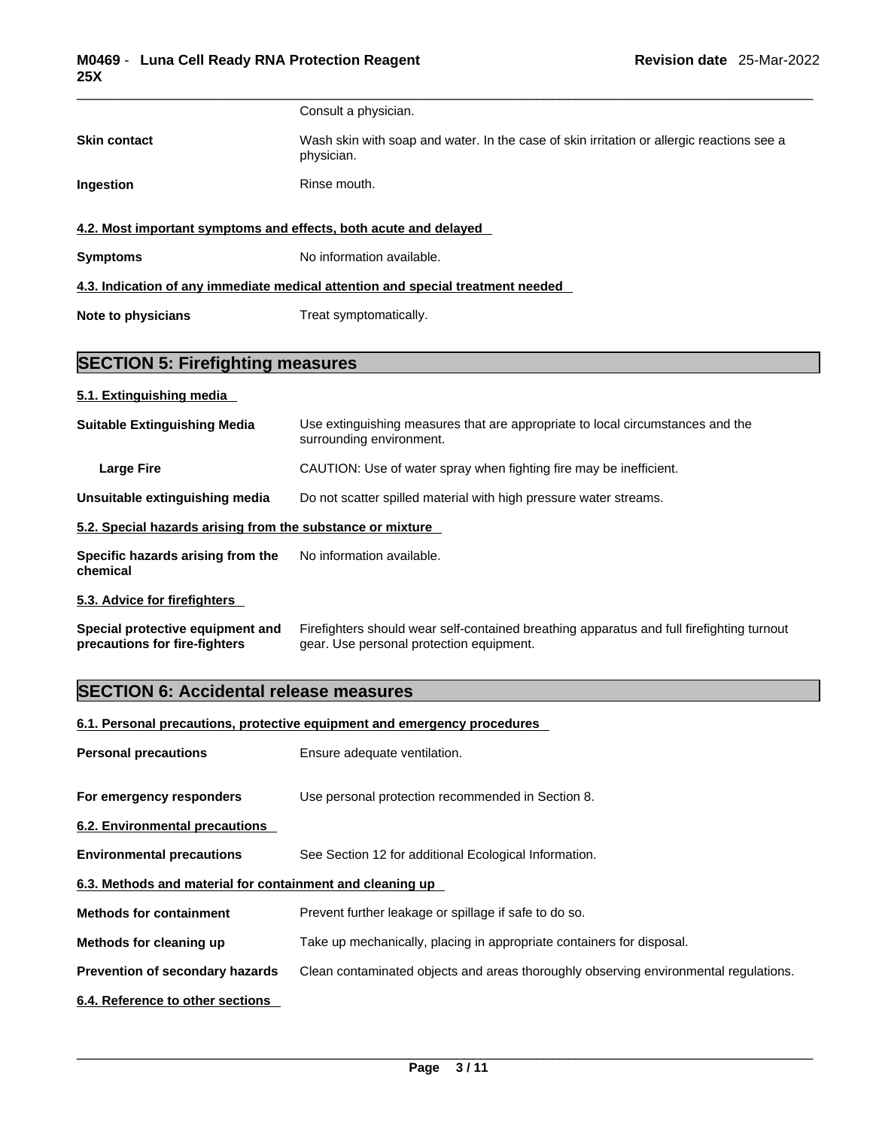|                                                                                 | Consult a physician.                                                                                    |  |
|---------------------------------------------------------------------------------|---------------------------------------------------------------------------------------------------------|--|
| <b>Skin contact</b>                                                             | Wash skin with soap and water. In the case of skin irritation or allergic reactions see a<br>physician. |  |
| Ingestion                                                                       | Rinse mouth.                                                                                            |  |
|                                                                                 | 4.2. Most important symptoms and effects, both acute and delayed                                        |  |
| <b>Symptoms</b>                                                                 | No information available.                                                                               |  |
| 4.3. Indication of any immediate medical attention and special treatment needed |                                                                                                         |  |
| Note to physicians                                                              | Treat symptomatically.                                                                                  |  |
|                                                                                 |                                                                                                         |  |
|                                                                                 |                                                                                                         |  |

# **SECTION 5: Firefighting measures**

# **5.1. Extinguishing media**

| <b>Suitable Extinguishing Media</b>                        | Use extinguishing measures that are appropriate to local circumstances and the<br>surrounding environment. |
|------------------------------------------------------------|------------------------------------------------------------------------------------------------------------|
| <b>Large Fire</b>                                          | CAUTION: Use of water spray when fighting fire may be inefficient.                                         |
| Unsuitable extinguishing media                             | Do not scatter spilled material with high pressure water streams.                                          |
| 5.2. Special hazards arising from the substance or mixture |                                                                                                            |
| Specific hazards arising from the<br>chemical              | No information available.                                                                                  |
| 5.3. Advice for firefighters                               |                                                                                                            |

**Special protective equipment and precautions for fire-fighters** Firefighters should wear self-contained breathing apparatus and full firefighting turnout gear. Use personal protection equipment.

# **SECTION 6: Accidental release measures**

# **6.1. Personal precautions, protective equipment and emergency procedures**

| <b>Personal precautions</b>                               | Ensure adequate ventilation.                                                         |
|-----------------------------------------------------------|--------------------------------------------------------------------------------------|
| For emergency responders                                  | Use personal protection recommended in Section 8.                                    |
| 6.2. Environmental precautions                            |                                                                                      |
| <b>Environmental precautions</b>                          | See Section 12 for additional Ecological Information.                                |
| 6.3. Methods and material for containment and cleaning up |                                                                                      |
| <b>Methods for containment</b>                            | Prevent further leakage or spillage if safe to do so.                                |
| Methods for cleaning up                                   | Take up mechanically, placing in appropriate containers for disposal.                |
| <b>Prevention of secondary hazards</b>                    | Clean contaminated objects and areas thoroughly observing environmental regulations. |
| 6.4. Reference to other sections                          |                                                                                      |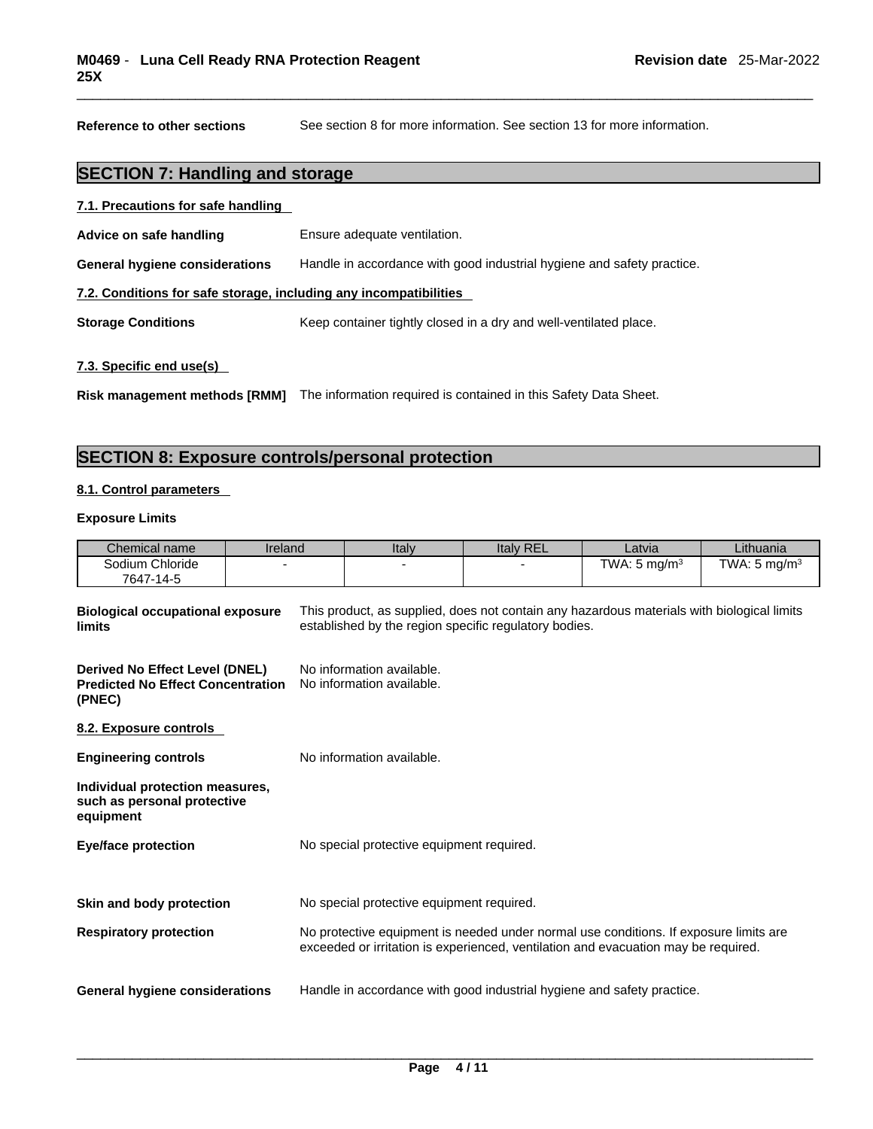**Reference to other sections** See section 8 for more information. See section 13 for more information.

# **SECTION 7: Handling and storage**

| 7.1. Precautions for safe handling                                |                                                                        |  |  |  |
|-------------------------------------------------------------------|------------------------------------------------------------------------|--|--|--|
| Advice on safe handling                                           | Ensure adequate ventilation.                                           |  |  |  |
| <b>General hygiene considerations</b>                             | Handle in accordance with good industrial hygiene and safety practice. |  |  |  |
| 7.2. Conditions for safe storage, including any incompatibilities |                                                                        |  |  |  |
| <b>Storage Conditions</b>                                         | Keep container tightly closed in a dry and well-ventilated place.      |  |  |  |
|                                                                   |                                                                        |  |  |  |

# **7.3. Specific end use(s)**

**Risk management methods [RMM]** The information required is contained in this Safety Data Sheet.

# **SECTION 8: Exposure controls/personal protection**

## **8.1. Control parameters**

## **Exposure Limits**

| Chemical name                | Ireland | Italy | <b>Italy REL</b> | Latvia                  | Lithuania               |
|------------------------------|---------|-------|------------------|-------------------------|-------------------------|
| Sodium Chloride<br>7647-14-5 |         |       |                  | TWA: $5 \text{ mg/m}^3$ | TWA: $5 \text{ mg/m}^3$ |

| <b>Biological occupational exposure</b><br>limits                                    | This product, as supplied, does not contain any hazardous materials with biological limits<br>established by the region specific regulatory bodies.                         |
|--------------------------------------------------------------------------------------|-----------------------------------------------------------------------------------------------------------------------------------------------------------------------------|
| Derived No Effect Level (DNEL)<br><b>Predicted No Effect Concentration</b><br>(PNEC) | No information available.<br>No information available.                                                                                                                      |
| 8.2. Exposure controls                                                               |                                                                                                                                                                             |
| <b>Engineering controls</b>                                                          | No information available.                                                                                                                                                   |
| Individual protection measures,<br>such as personal protective<br>equipment          |                                                                                                                                                                             |
| <b>Eye/face protection</b>                                                           | No special protective equipment required.                                                                                                                                   |
| Skin and body protection                                                             | No special protective equipment required.                                                                                                                                   |
| <b>Respiratory protection</b>                                                        | No protective equipment is needed under normal use conditions. If exposure limits are<br>exceeded or irritation is experienced, ventilation and evacuation may be required. |
| General hygiene considerations                                                       | Handle in accordance with good industrial hygiene and safety practice.                                                                                                      |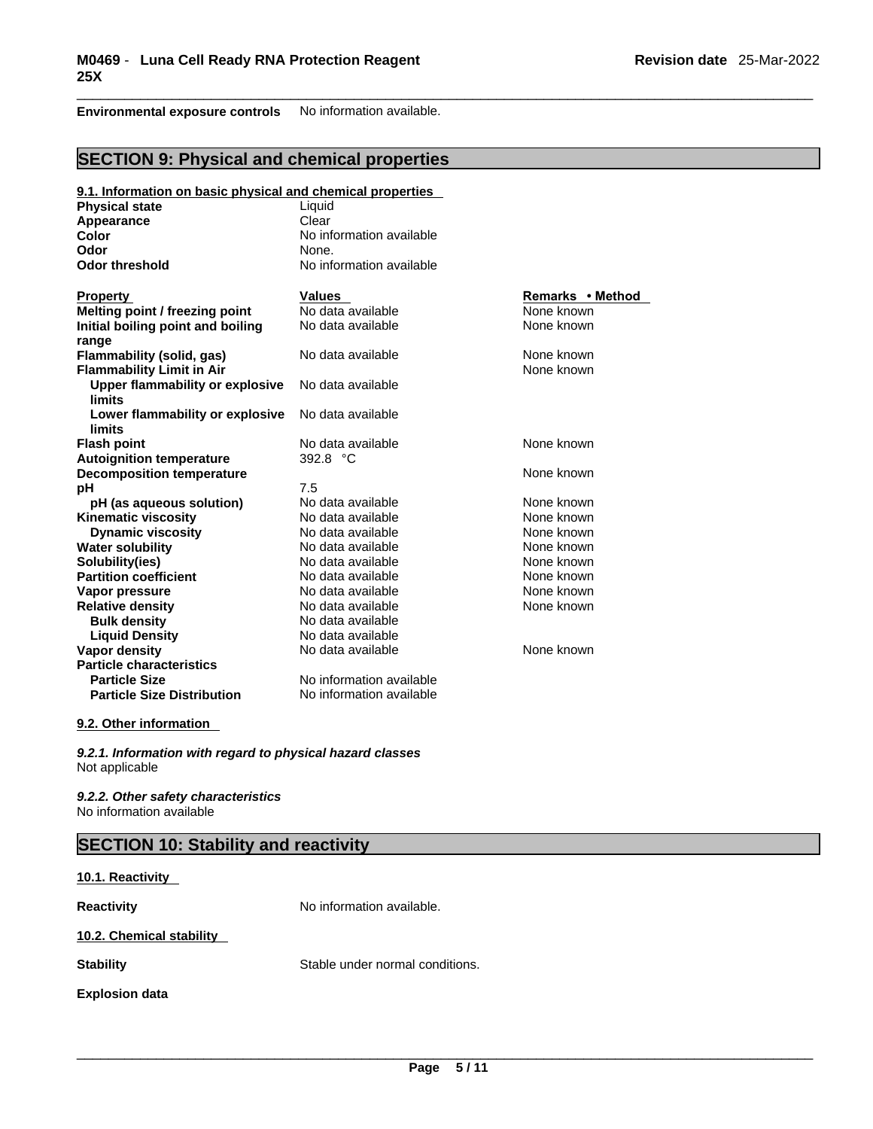**Environmental exposure controls** No information available.

# **SECTION 9: Physical and chemical properties**

| 9.1. Information on basic physical and chemical properties |                          |                  |
|------------------------------------------------------------|--------------------------|------------------|
| <b>Physical state</b>                                      | Liquid                   |                  |
| Appearance                                                 | Clear                    |                  |
| Color                                                      | No information available |                  |
| Odor                                                       | None.                    |                  |
| <b>Odor threshold</b>                                      | No information available |                  |
| <b>Property</b>                                            | <b>Values</b>            | Remarks • Method |
| Melting point / freezing point                             | No data available        | None known       |
| Initial boiling point and boiling                          | No data available        | None known       |
| range                                                      |                          |                  |
| Flammability (solid, gas)                                  | No data available        | None known       |
| <b>Flammability Limit in Air</b>                           |                          | None known       |
| Upper flammability or explosive                            | No data available        |                  |
| limits                                                     |                          |                  |
| Lower flammability or explosive                            | No data available        |                  |
| limits                                                     |                          |                  |
| <b>Flash point</b>                                         | No data available        | None known       |
| <b>Autoignition temperature</b>                            | 392.8 °C                 |                  |
| <b>Decomposition temperature</b>                           |                          | None known       |
| рH                                                         | 7.5                      |                  |
| pH (as aqueous solution)                                   | No data available        | None known       |
| <b>Kinematic viscosity</b>                                 | No data available        | None known       |
| <b>Dynamic viscosity</b>                                   | No data available        | None known       |
| <b>Water solubility</b>                                    | No data available        | None known       |
| Solubility(ies)                                            | No data available        | None known       |
| <b>Partition coefficient</b>                               | No data available        | None known       |
| Vapor pressure                                             | No data available        | None known       |
| <b>Relative density</b>                                    | No data available        | None known       |
| <b>Bulk density</b>                                        | No data available        |                  |
| <b>Liquid Density</b>                                      | No data available        |                  |
| <b>Vapor density</b>                                       | No data available        | None known       |
| <b>Particle characteristics</b>                            |                          |                  |
| <b>Particle Size</b>                                       | No information available |                  |
| <b>Particle Size Distribution</b>                          | No information available |                  |
|                                                            |                          |                  |

# **9.2. Other information**

*9.2.1. Information with regard to physical hazard classes* Not applicable

*9.2.2. Other safety characteristics* No information available

| <b>SECTION 10: Stability and reactivity</b> |                                 |  |
|---------------------------------------------|---------------------------------|--|
| 10.1. Reactivity                            |                                 |  |
| <b>Reactivity</b>                           | No information available.       |  |
| 10.2. Chemical stability                    |                                 |  |
| <b>Stability</b>                            | Stable under normal conditions. |  |
| <b>Explosion data</b>                       |                                 |  |
|                                             |                                 |  |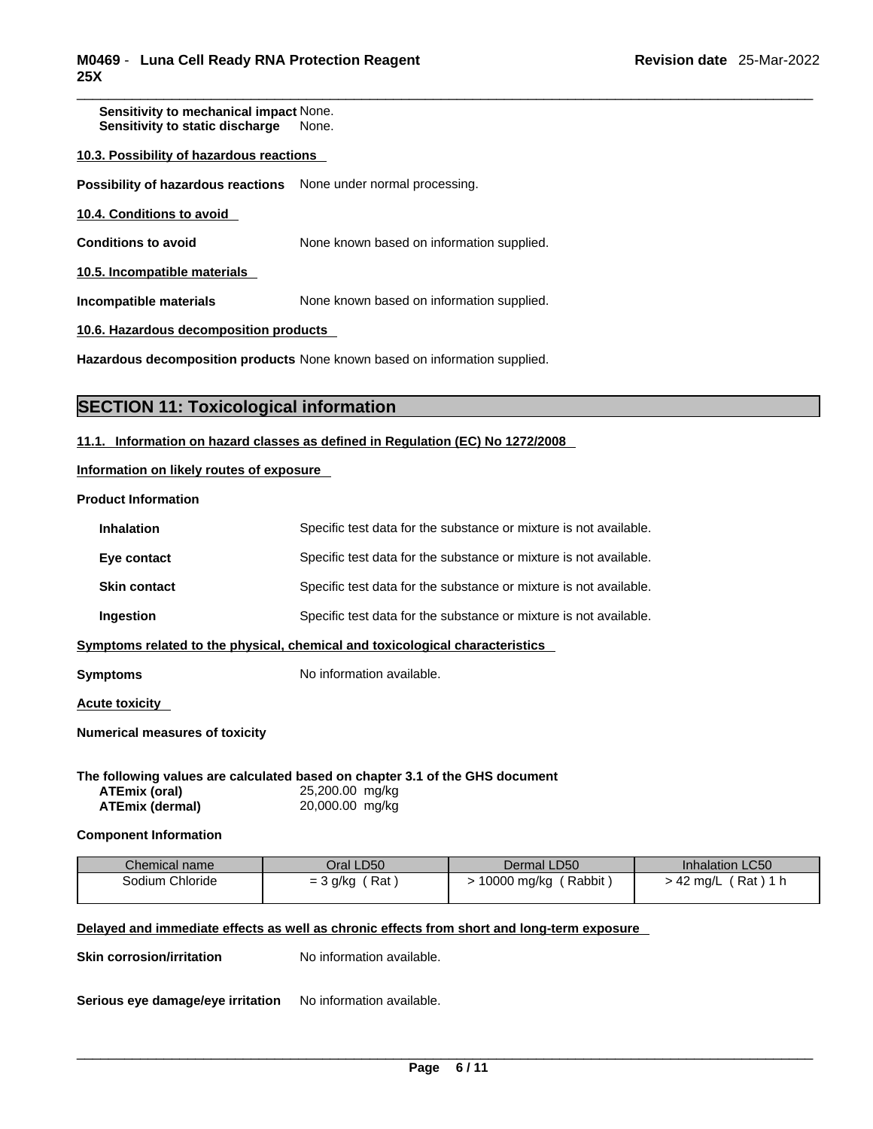**Sensitivity to mechanical impact** None. **Sensitivity to static discharge** None.

### **10.3. Possibility of hazardous reactions**

**Possibility of hazardous reactions** None under normal processing.

**10.4. Conditions to avoid** 

**Conditions to avoid** None known based on information supplied.

**10.5. Incompatible materials**

**Incompatible materials** None known based on information supplied.

**10.6. Hazardous decomposition products** 

**Hazardous decomposition products** None known based on information supplied.

# **SECTION 11: Toxicological information**

## **11.1. Information on hazard classes as defined in Regulation (EC) No 1272/2008**

**Information on likely routes of exposure**

#### **Product Information**

| Symptoms                                                                     | No information available.                                         |  |  |  |
|------------------------------------------------------------------------------|-------------------------------------------------------------------|--|--|--|
| Symptoms related to the physical, chemical and toxicological characteristics |                                                                   |  |  |  |
| Ingestion                                                                    | Specific test data for the substance or mixture is not available. |  |  |  |
| <b>Skin contact</b>                                                          | Specific test data for the substance or mixture is not available. |  |  |  |
| Eye contact                                                                  | Specific test data for the substance or mixture is not available. |  |  |  |
| <b>Inhalation</b>                                                            | Specific test data for the substance or mixture is not available. |  |  |  |

**Acute toxicity** 

**Numerical measures of toxicity**

**The following values are calculated based on chapter 3.1 of the GHS document ATEmix (oral)** 25,200.00 mg/kg **ATEmix (dermal)**20,000.00 mg/kg

**Component Information**

| Chemical name   | Oral LD50         | Dermal LD50           | <b>Inhalation LC50</b> |
|-----------------|-------------------|-----------------------|------------------------|
| Sodium Chloride | Rat<br>$=$ 3 g/kg | Rabbit<br>10000 mg/kg | (Rat)1 h<br>→ 42 ma/L  |
|                 |                   |                       |                        |

# **Delayed and immediate effects as well as chronic effects from short and long-term exposure**

**Skin corrosion/irritation** No information available.

**Serious eye damage/eye irritation** No information available.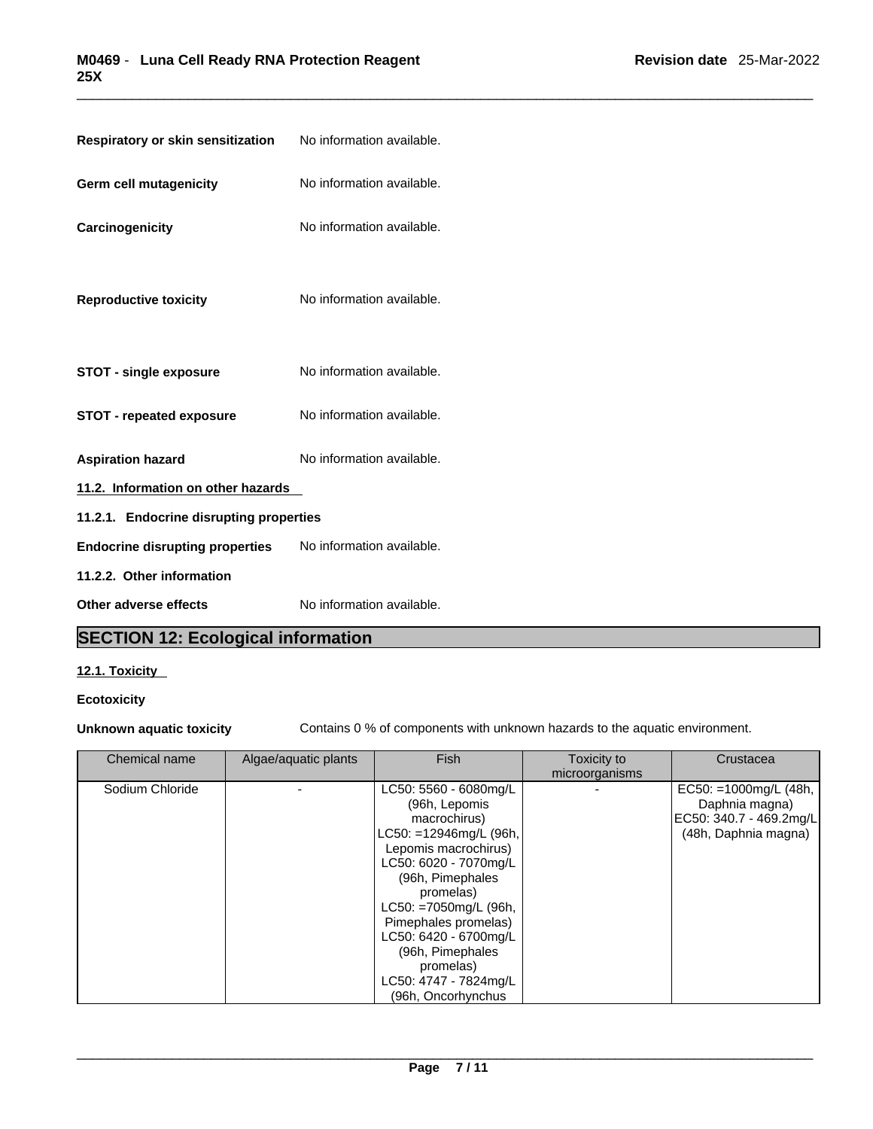| Respiratory or skin sensitization       | No information available. |  |
|-----------------------------------------|---------------------------|--|
| Germ cell mutagenicity                  | No information available. |  |
| Carcinogenicity                         | No information available. |  |
| <b>Reproductive toxicity</b>            | No information available. |  |
| <b>STOT - single exposure</b>           | No information available. |  |
| <b>STOT - repeated exposure</b>         | No information available. |  |
| <b>Aspiration hazard</b>                | No information available. |  |
| 11.2. Information on other hazards      |                           |  |
| 11.2.1. Endocrine disrupting properties |                           |  |
| <b>Endocrine disrupting properties</b>  | No information available. |  |
| 11.2.2. Other information               |                           |  |
| Other adverse effects                   | No information available. |  |

# **SECTION 12: Ecological information**

# **12.1. Toxicity**

# **Ecotoxicity**

**Unknown aquatic toxicity** Contains 0 % of components with unknown hazards to the aquatic environment.

| Chemical name   | Algae/aquatic plants | <b>Fish</b>                                                                                                                                                                                                                                                                                                                  | Toxicity to<br>microorganisms | Crustacea                                                                                  |  |
|-----------------|----------------------|------------------------------------------------------------------------------------------------------------------------------------------------------------------------------------------------------------------------------------------------------------------------------------------------------------------------------|-------------------------------|--------------------------------------------------------------------------------------------|--|
| Sodium Chloride |                      | LC50: 5560 - 6080mg/L<br>(96h, Lepomis<br>macrochirus)<br>LC50: =12946mg/L (96h,<br>Lepomis macrochirus)<br>LC50: 6020 - 7070mg/L<br>(96h, Pimephales<br>promelas)<br>LC50: =7050mg/L (96h,<br>Pimephales promelas)<br>LC50: 6420 - 6700mg/L<br>(96h, Pimephales<br>promelas)<br>LC50: 4747 - 7824mg/L<br>(96h, Oncorhynchus |                               | EC50: =1000mg/L (48h,<br>Daphnia magna)<br>EC50: 340.7 - 469.2mg/L<br>(48h, Daphnia magna) |  |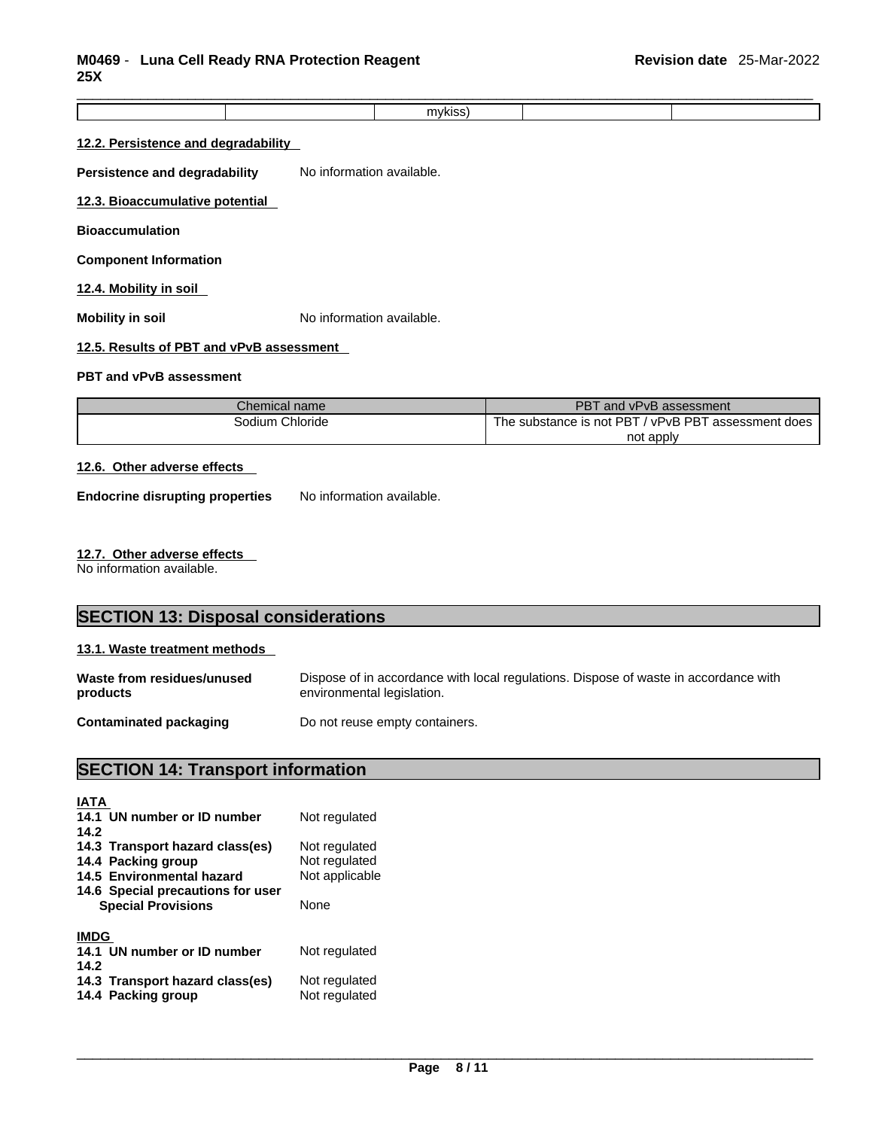|  | $\sim$ |  |
|--|--------|--|
|  |        |  |
|  |        |  |

# **12.2. Persistence and degradability**

**Persistence and degradability** No information available.

#### **12.3. Bioaccumulative potential**

**Bioaccumulation**

#### **Component Information**

# **12.4. Mobility in soil**

**Mobility in soil Mobility in soil No** information available.

# **12.5. Results of PBT and vPvB assessment**

# **PBT and vPvB assessment**

| Chemical name   | PBT<br>and vPvB assessment                          |
|-----------------|-----------------------------------------------------|
| Sodium Chloride | The substance is not PBT / vPvB PBT assessment does |
|                 | not apply                                           |

# **12.6. Other adverse effects**

**Endocrine disrupting properties** No information available.

#### **12.7. Other adverse effects**

No information available.

# **SECTION 13: Disposal considerations 13.1. Waste treatment methods Waste from residues/unused products**  Dispose of in accordance with local regulations. Dispose of waste in accordance with environmental legislation. **Contaminated packaging** Do not reuse empty containers.

# **SECTION 14: Transport information**

| <b>IATA</b>                       |                |
|-----------------------------------|----------------|
| 14.1 UN number or ID number       | Not regulated  |
| 14.2                              |                |
| 14.3 Transport hazard class(es)   | Not regulated  |
| 14.4 Packing group                | Not regulated  |
| 14.5 Environmental hazard         | Not applicable |
| 14.6 Special precautions for user |                |
| <b>Special Provisions</b>         | None           |
|                                   |                |
| <b>IMDG</b>                       |                |
| 14.1 UN number or ID number       | Not regulated  |
| 14.2                              |                |
| 14.3 Transport hazard class(es)   | Not regulated  |
| 14.4 Packing group                | Not regulated  |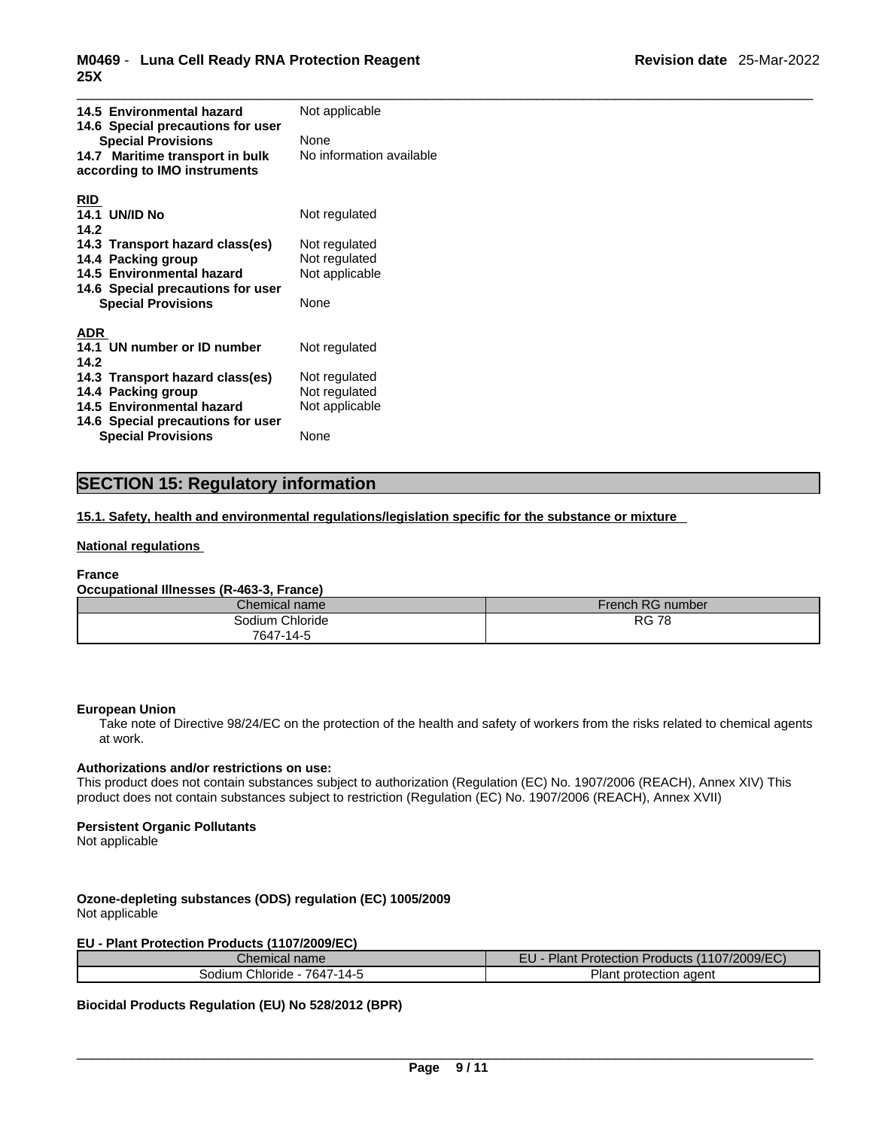| 14.5 Environmental hazard<br>14.6 Special precautions for user<br><b>Special Provisions</b><br>14.7 Maritime transport in bulk<br>according to IMO instruments                                            | Not applicable<br>None<br>No information available                        |
|-----------------------------------------------------------------------------------------------------------------------------------------------------------------------------------------------------------|---------------------------------------------------------------------------|
| <b>RID</b><br><b>14.1 UN/ID No</b><br>14.2<br>14.3 Transport hazard class(es)<br>14.4 Packing group<br>14.5 Environmental hazard<br>14.6 Special precautions for user<br><b>Special Provisions</b>        | Not regulated<br>Not regulated<br>Not regulated<br>Not applicable<br>None |
| <b>ADR</b><br>14.1 UN number or ID number<br>14.2<br>14.3 Transport hazard class(es)<br>14.4 Packing group<br>14.5 Environmental hazard<br>14.6 Special precautions for user<br><b>Special Provisions</b> | Not regulated<br>Not regulated<br>Not regulated<br>Not applicable<br>None |

# **SECTION 15: Regulatory information**

**15.1. Safety, health and environmental regulations/legislation specific for the substance or mixture**

# **National regulations**

## **France**

# **Occupational Illnesses (R-463-3, France)**

| Chemical name   | French RG number |
|-----------------|------------------|
| Sodium Chloride | <b>RG 78</b>     |
| 7647-14-5       |                  |

## **European Union**

Take note of Directive 98/24/EC on the protection of the health and safety of workers from the risks related to chemical agents at work.

# **Authorizations and/or restrictions on use:**

This product does not contain substances subject to authorization (Regulation (EC) No. 1907/2006 (REACH), Annex XIV) This product does not contain substances subject to restriction (Regulation (EC) No. 1907/2006 (REACH), Annex XVII)

# **Persistent Organic Pollutants**

Not applicable

# **Ozone-depleting substances (ODS) regulation (EC) 1005/2009**

Not applicable

# **EU - Plant Protection Products (1107/2009/EC)**

| Chemical name                      | (1107/2009/EC)<br>Plant.<br><b>Protection Products</b> |
|------------------------------------|--------------------------------------------------------|
| 7647-14-5<br>Chloride -<br>Sodium. | Plant protection agent                                 |

## **Biocidal Products Regulation (EU) No 528/2012 (BPR)**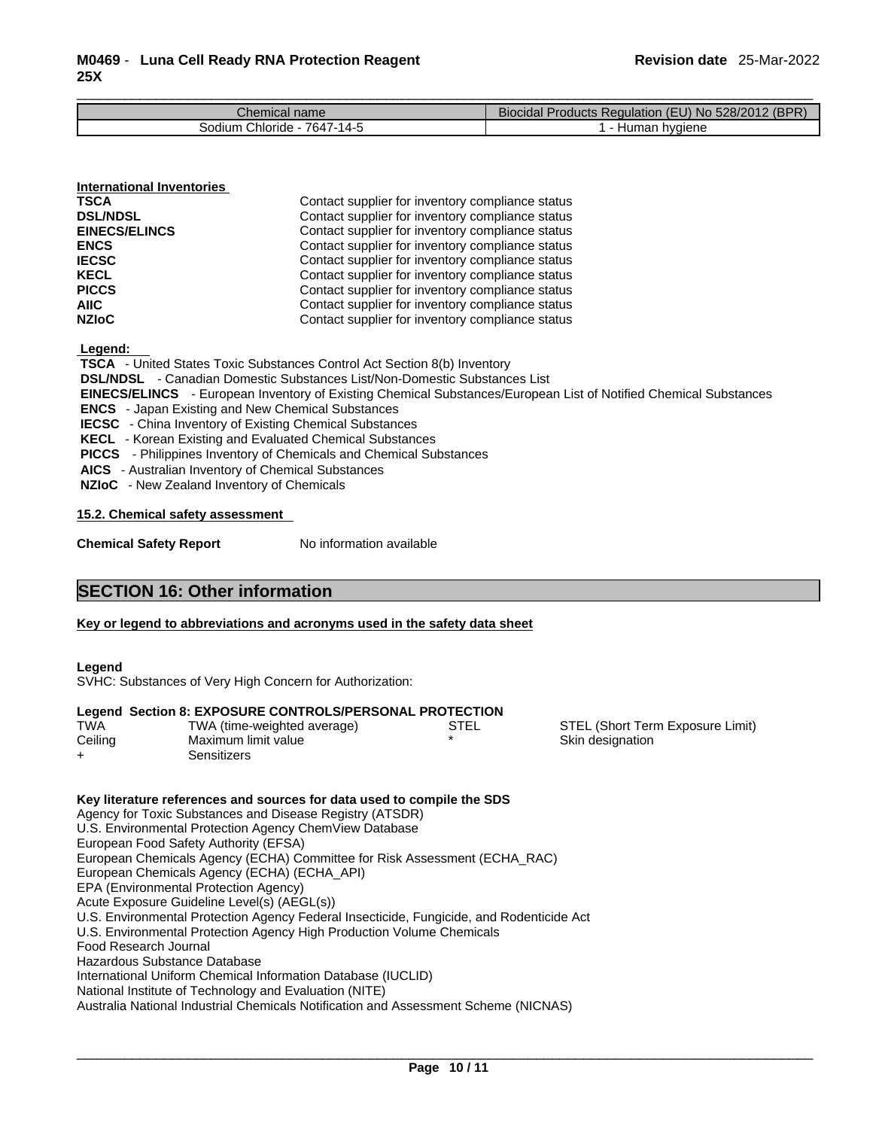| Chemical name                   | Biocidal i<br>? (BPR)<br>Products Regulation (EU) No 528/2012 ( |
|---------------------------------|-----------------------------------------------------------------|
| 7647-14-5<br>Chloride<br>3odium | <b>hvaiene</b><br>Human                                         |

| <b>International Inventories</b> |                                                  |  |
|----------------------------------|--------------------------------------------------|--|
| <b>TSCA</b>                      | Contact supplier for inventory compliance status |  |
| <b>DSL/NDSL</b>                  | Contact supplier for inventory compliance status |  |
| <b>EINECS/ELINCS</b>             | Contact supplier for inventory compliance status |  |
| <b>ENCS</b>                      | Contact supplier for inventory compliance status |  |
| <b>IECSC</b>                     | Contact supplier for inventory compliance status |  |
| <b>KECL</b>                      | Contact supplier for inventory compliance status |  |
| <b>PICCS</b>                     | Contact supplier for inventory compliance status |  |
| <b>AIIC</b>                      | Contact supplier for inventory compliance status |  |
| <b>NZIoC</b>                     | Contact supplier for inventory compliance status |  |

 **Legend:** 

 **TSCA** - United States Toxic Substances Control Act Section 8(b) Inventory

 **DSL/NDSL** - Canadian Domestic Substances List/Non-Domestic Substances List

 **EINECS/ELINCS** - European Inventory of Existing Chemical Substances/European List of Notified Chemical Substances

 **ENCS** - Japan Existing and New Chemical Substances

 **IECSC** - China Inventory of Existing Chemical Substances

 **KECL** - Korean Existing and Evaluated Chemical Substances

 **PICCS** - Philippines Inventory of Chemicals and Chemical Substances

 **AICS** - Australian Inventory of Chemical Substances

 **NZIoC** - New Zealand Inventory of Chemicals

**15.2. Chemical safety assessment**

**Chemical Safety Report** No information available

# **SECTION 16: Other information**

## **Key or legend to abbreviations and acronyms used in the safety data sheet**

## **Legend**

SVHC: Substances of Very High Concern for Authorization:

# **Legend Section 8: EXPOSURE CONTROLS/PERSONAL PROTECTION**

| <b>TWA</b> | TWA (time-weighted average) |
|------------|-----------------------------|
| Ceiling    | Maximum limit value         |
| $\div$     | Sensitizers                 |

STEL STEL (Short Term Exposure Limit) Skin designation

#### **Key literature references and sources for data used to compile the SDS** Agency for Toxic Substances and Disease Registry (ATSDR) U.S. Environmental Protection Agency ChemView Database European Food Safety Authority (EFSA) European Chemicals Agency (ECHA) Committee for Risk Assessment (ECHA\_RAC) European Chemicals Agency (ECHA) (ECHA\_API) EPA (Environmental Protection Agency) Acute Exposure Guideline Level(s) (AEGL(s)) U.S. Environmental Protection Agency Federal Insecticide, Fungicide, and Rodenticide Act U.S. Environmental Protection Agency High Production Volume Chemicals Food Research Journal Hazardous Substance Database International Uniform Chemical Information Database (IUCLID) National Institute of Technology and Evaluation (NITE) Australia National Industrial Chemicals Notification and Assessment Scheme (NICNAS)